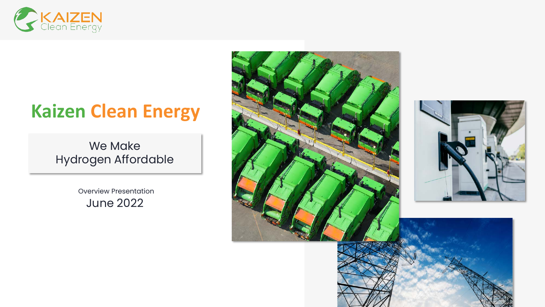

# **Kaizen Clean Energy**

### We Make Hydrogen Affordable

Overview Presentation June 2022



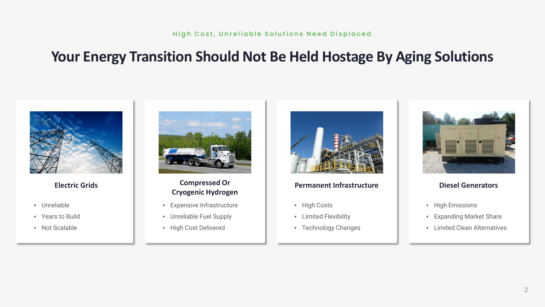# **Your Energy Transition Should Not Be Held Hostage By Aging Solutions**



**Electric Grids**

- Unreliable
- Years to Build
- Not Scalable



#### **Compressed Or Cryogenic Hydrogen**

- Expensive Infrastructure
- Unreliable Fuel Supply
- High Cost Delivered



#### **Permanent Infrastructure**

- High Costs
- Limited Flexibility
- Technology Changes



#### **Diesel Generators**

- High Emissions
- Expanding Market Share
- Limited Clean Alternatives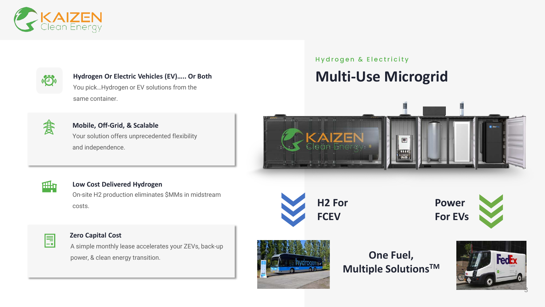



**Hydrogen Or Electric Vehicles (EV)….. Or Both** You pick…Hydrogen or EV solutions from the same container.

君

**Mobile, Off-Grid, & Scalable** Your solution offers unprecedented flexibility and independence.

Hydrogen & Electricity

# **Multi-Use Microgrid**





#### **Low Cost Delivered Hydrogen**

On-site H2 production eliminates \$MMs in midstream costs.



#### **Zero Capital Cost**

A simple monthly lease accelerates your ZEVs, back-up power, & clean energy transition.





**One Fuel, Multiple SolutionsTM**



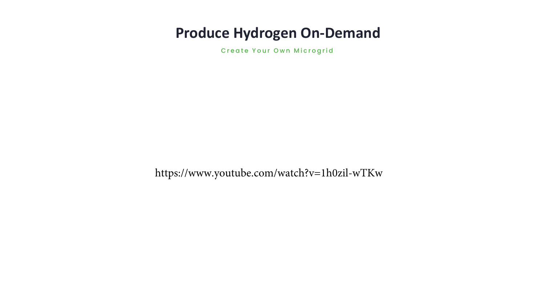### **Produce Hydrogen On-Demand**

Create Your Own Microgrid

https://www.youtube.com/watch?v=1h0zil-wTKw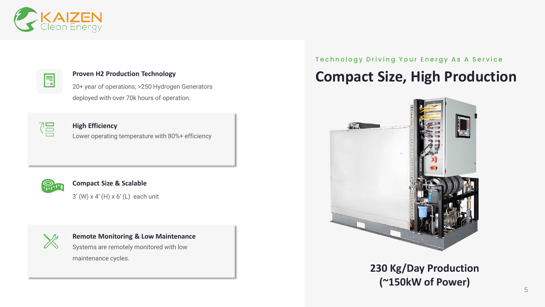

### E.

#### **Proven H2 Production Technology**

20+ year of operations; >250 Hydrogen Generators deployed with over 70k hours of operation.



**High Efficiency** Lower operating temperature with 80%+ efficiency



#### **Compact Size & Scalable**

3' (W) x 4' (H) x 6' (L) each unit



#### **Remote Monitoring & Low Maintenance**

Systems are remotely monitored with low maintenance cycles.

#### Technology Driving Your Energy As A Service

# **Compact Size, High Production**



### **230 Kg/Day Production (~150kW of Power)** 5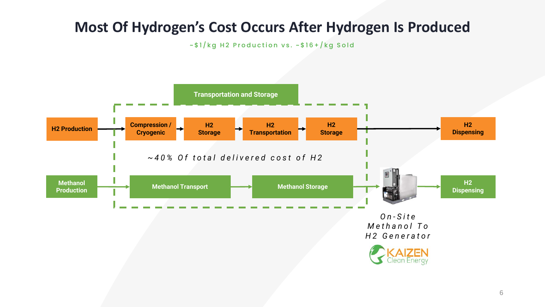# **Most Of Hydrogen's Cost Occurs After Hydrogen Is Produced**

~\$1/kg H2 Production vs. ~\$16+/kg Sold

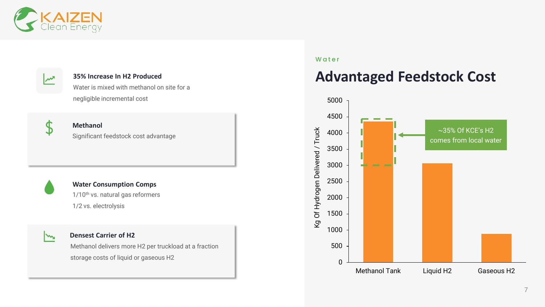

#### **35% Increase In H2 Produced**

Water is mixed with methanol on site for a negligible incremental cost



#### **Methanol** Significant feedstock cost advantage

#### **Water Consumption Comps**

1/10<sup>th</sup> vs. natural gas reformers 1/2 vs. electrolysis



#### **Densest Carrier of H2**

Methanol delivers more H2 per truckload at a fraction storage costs of liquid or gaseous H2

#### Water

### **Advantaged Feedstock Cost**

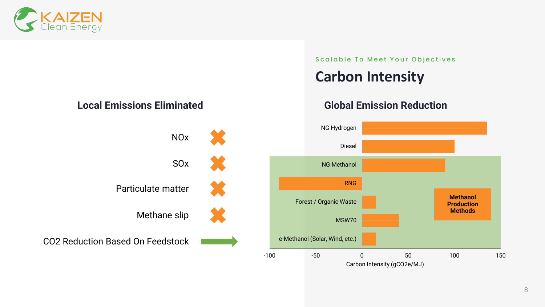



### **Carbon Intensity**

### **Local Emissions Eliminated Global Emission Reduction**



Carbon Intensity (gCO2e/MJ)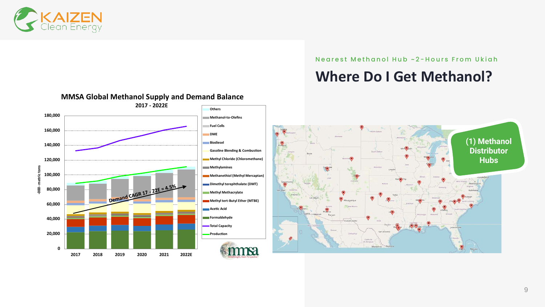

Nearest Methanol Hub ~2 - Hours From Ukiah

# **Where Do I Get Methanol?**

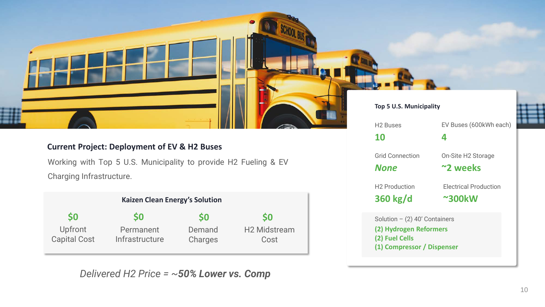### **Current Project: Deployment of EV & H2 Buses**

Working with Top 5 U.S. Municipality to provide H2 Fueling & EV Charging Infrastructure.

|                                | <b>Kaizen Clean Energy's Solution</b> |                   |                             |  |  |
|--------------------------------|---------------------------------------|-------------------|-----------------------------|--|--|
| <b>SO</b>                      | <b>SO</b>                             | <b>SO</b>         | S <sub>0</sub>              |  |  |
| Upfront<br><b>Capital Cost</b> | Permanent<br>Infrastructure           | Demand<br>Charges | <b>H2 Midstream</b><br>Cost |  |  |

*Delivered H2 Price = ~50% Lower vs. Comp*

#### **Top 5 U.S. Municipality**

| <b>H2 Buses</b>                              | EV Buses (600kWh each) |
|----------------------------------------------|------------------------|
| 10                                           | 4                      |
| <b>Grid Connection</b>                       | On-Site H2 Storage     |
| <b>None</b>                                  | ~2 weeks               |
| H <sub>2</sub> Production                    | Electrical Production  |
| 360 kg/d                                     | $~\sim$ 300 $~\rm kW$  |
| Solution $-$ (2) 40' Containers              |                        |
| (2) Hydrogen Reformers                       |                        |
| (2) Fuel Cells<br>(1) Compressor / Dispenser |                        |
|                                              |                        |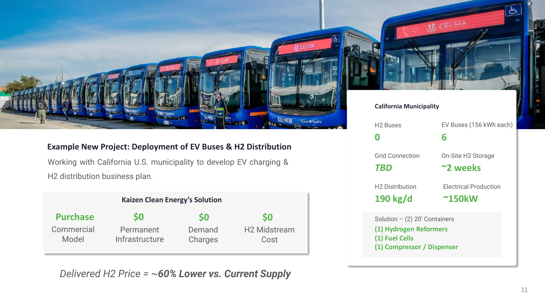

### **Example New Project: Deployment of EV Buses & H2 Distribution**

Working with California U.S. municipality to develop EV charging & H2 distribution business plan.

| <b>Kaizen Clean Energy's Solution</b> |                             |                   |                             |  |
|---------------------------------------|-----------------------------|-------------------|-----------------------------|--|
| <b>Purchase</b>                       | S0                          | <b>SO</b>         | <b>SO</b>                   |  |
| Commercial<br>Model                   | Permanent<br>Infrastructure | Demand<br>Charges | <b>H2 Midstream</b><br>Cost |  |

*Delivered H2 Price = ~60% Lower vs. Current Supply*

#### **California Municipality**

| <b>H2 Buses</b>                                                        | EV Buses (156 kWh each) |  |  |
|------------------------------------------------------------------------|-------------------------|--|--|
| Ω                                                                      | 6                       |  |  |
| Grid Connection                                                        | On-Site H2 Storage      |  |  |
| <b>TBD</b>                                                             | ~2 weeks                |  |  |
| <b>H2 Distribution</b>                                                 | Electrical Production   |  |  |
| 190 kg/d                                                               | $~^{\sim}$ 150kW        |  |  |
| Solution $-$ (2) 20' Containers                                        |                         |  |  |
| (1) Hydrogen Reformers<br>(1) Fuel Cells<br>(1) Compressor / Dispenser |                         |  |  |

W CELSIA

凸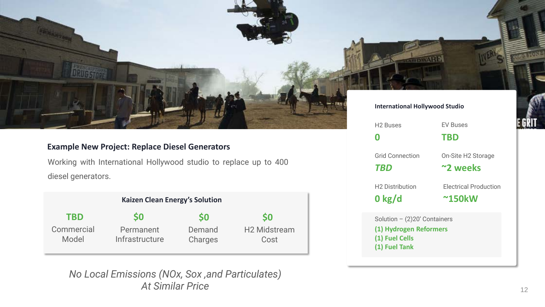

#### **Example New Project: Replace Diesel Generators**

Working with International Hollywood studio to replace up to 400 diesel generators.

| <b>Kaizen Clean Energy's Solution</b> |                             |                   |                             |  |  |
|---------------------------------------|-----------------------------|-------------------|-----------------------------|--|--|
| <b>TBD</b>                            | S0                          | S0                | <b>SO</b>                   |  |  |
| Commercial<br>Model                   | Permanent<br>Infrastructure | Demand<br>Charges | <b>H2 Midstream</b><br>Cost |  |  |

*No Local Emissions (NOx, Sox ,and Particulates) At Similar Price*

#### **International Hollywood Studio**

**BOWA**